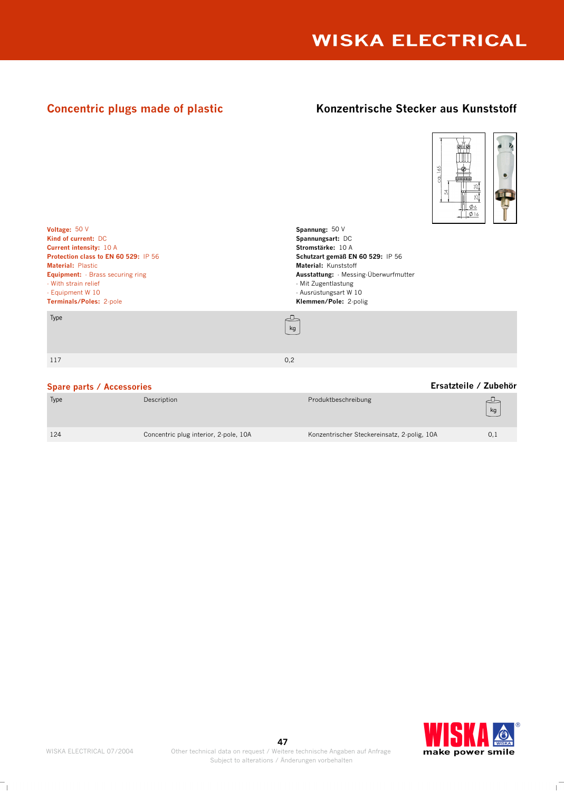## **Concentric plugs made of plastic <b>Konzentrische Stecker aus Kunststoff**





 $\mathbb{L}$